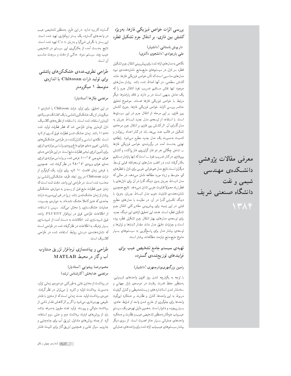بررسی اثرات خواص فیزیکی فازها، بهویژه کشش بین فازی، بر انتقال جرم تشکیل قطره

> دار یوش باستانی (دانشیار) علی یارجوادی (دانشجوی دکتری)

نگاهی به مدل های ارائه شده برای پیش بینی انتقال جرم تشکیل قطره سر نازل در سیستمهای مایع-مایع، نشاندهندهی نبود مدل های مناسبی است که تأثیر خواص فیزیکی فارها، مانند کشش سطحی، در أنها لحاظ شده باشد. بیشتر مدلهای موجود تنها نقش مستقيم ضريب نفوذ انتقال جرم راكه یک عامل بدیهی است در بر دارند و فاقد پارامترها دیگر مرتبط با خواص فيزيكي فارها هستند. موضوع تحقيق حاضر بررسی اثرات خواص فیزیکی فازها، بهویژه کشش بین فازی، بر این مرحله از انتقال جرم در این سیستمها است. با استفاده از توسعهی مدل جدید انبساط جریان به مدل گذرای آن، اثر کشش بین فازی بر انتقال جرم مرحلهی تشکیل در قالب عدد بی بعد باند در کنار اعداد رینولدز و اشمیت بهصورت یک مدل جدید مطرح میشود. رابطهی نهایی بهدست آمده در برگیرندهی خواص فیزیکی فازها ـــ شامل چگالمی هر دو فاز، گران٫روی فاز پراکنده وکشش بین فازی درکنار ضریب نفوذ ــ است که تنها پارامتر مستقیم بهکارگرفته شده در اغلب مدلهای توسعه یافته قبلبی توسط دیگران است.نتایج مدل هم خوانی خوبی برای نازل با قطرهای کم، متوسط و زیاد مورد مطالعه نشان می دهد، در حالبی که مدل انبساط جریان بدون دیدگاه گذرا در آن برای نازل های با قطر زياد معمولاً قابليت خوبي نشان نمىدهد. نتايج همچنين نشاندهنده، قابلیت خوب مدل انبساط جریان، بهویژه با دیدگاه تکمیلی گذرا در آن، در مقایسه با مدلهای مطرح قبلی در این زمینه برای پیشبینی مقادیر کلی انتقال جرم تشکیل قطره است. هدف این تحقیق ارائهی این دیدگاه جدید برای توسعه،ی مدلهای بهتر انتقال جرم تشکیل قطره بوده است و جزئیات دقیق مدل مانند مقدار ثابتها و توان ها و توسعه، بیشتر مدل برای پاسخگویی به سیستمهای بسیار متنوع مايع-مايع نيازمند مطالعات ببيشتر است.

معرفى مقالات پژوهشى

دانشگاه صنعتی شریف

دانشىكدەي مهندسى

شیمی و نفت

## تهیهی سیستم جامع تشخیص عیب برای فرایندهای توزیعشدهی گسترده

### رامین بزرگمهری بوذرجمهری (دانشیار)

با توجه به یکپارچه شدن روز افزون واحدهای شیمیایی، به منظور حفظ قدرت رقابت در عرصه، بازار جهانی و سختتر شدن استانداردهاى زيست محيطى وكنترل كيفيت مربوط به این واحدها، کنترل و نظارت بر عملکرد اینگونه واحدها برای جلوگیری از خارج شدن واحد از شرایط عادی، بسیار پیچیده و دشوار است. بههمین دلیل تهیهی یک سیستم عيبياب خودكاربه منظور تشخيص عيب ونظارت بر عملكرد واحدهای عملیاتی بسیار حائز اهمیت است. از سوی دیگر بیشتر سیستمهای عیب یاب ارائه شده برای واحدهای عملیاتی

گسترده کاربرد ندارد. در این طرح، به منظور تشخیص عیب در واحدهای گسترده یک بستر نرمافزاری تهیه شده است. این بستر با نگرش شئگرا و بهزبان ++C تهیه شده است. نتایج بهدست آمده از بهکارگیری این سیستم در تشخیص عیب چند سیستم نمونه، حاکی از دقت و سرعت مناسب آن است.

## طراحی نظری۔عددی خشککنهای پاششی برای تولید ذرات Chitosan با اندازهی متوسط ۱ میکرومتر

### مرتضى بقالها (استاديار)

در این تحقیق، برای تولید ذرات Chitosan با اندازهی ١ میکرومتر، از یک خشککن پاششی با یک افشانک دوسیالهی اتومایزر استفاده شده است. با استفاده از نظریه های کلاسیک، نازل اتومایزر چنان طراحی شد که قطر قطرات تولید شده ا باشد. زمان خشک شدن قطرات فوق کسری از ثانیه  $\mu m$ است. نكتهى اساسى وكنترل كننده در طراحى خشك كن هاى پاششی، تعیین دمای هوای داغ ورودی براساس موازنهی انرژی برای تأمین انرژی تبخیر قطرات مایع است. دراین طراحی دمای هوای خروجی F ° ۰ ° د فرض شده، و براساس موازنهی انرژی دمای هوای ورودی  $F$ ۰۵ در نظر گرفته شد. همچنین با فرض زمان اقامت ١٠ ثانيه براى توليد يك كيلوگرم از ذرات Chitosan در روز، ابعاد ظرف خشککن پاششی نیز محاسبه شده است. در طراحی این واحد، دقت شده است که زمان عبور قطرات مایع قبل از رسیدن به دیوارهی خشککن بیشتر از زمان خشکشدن باشد، زیرا در غیر این صورت ذرات جامدی که هنوز کاملاً خشک نشدهاند به دیوارهی چسبیده، عملیات خشکسازی را مختل میکنند. سپس با استفاده از اطلاعات طراحی فوق در نرم|فزار FLUENT، واحد فوق شبیهسازی شد. اطلاعات به دست آمده از شبیهسازی بسیار نزدیک به اطلاعات در نظر گرفته شده در طراحی است که نشاندهندهی درستی روابط استفاده شده در طراحی كلاسيك است.

### طراحی و پیادهسازی نرم|فزار تزریق متناوب آب وگاز در محیط MATLAB

### محمودرضا پيشوايي (استاديار) مرتضى خدابخش (كارشناس ارشد)

در برداشت از مخازن نفتی به طورکلی دو دورهی زمانی تولید به صورت برداشت اولیه و ثانویه را می توان در نظر گرفت. دورهی برداشت اولیه، مدت زمانی است که از مخزن با فشار طبیعی بهرهبرداری میشود واگر بر اثرکاهش فشار ناشبی از برداشت متوالى و پيوسته، توليد نفت مقرون بهصرفه نباشد باید از روشهای ازدیاد برداشت دوم و حتی سوم استفاده کرد. از جمله روش های متداول، تزریق أب برای جابهجایی و جاروب سیال نفتی و همچنین تزریق گاز برای تثبیت فشار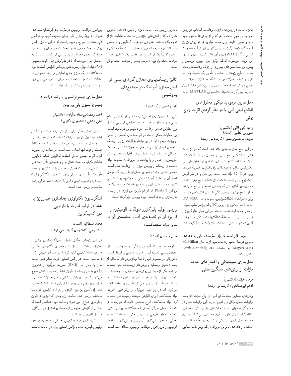مخزن است. در روش های ازدیاد برداشت، انتخاب هر روش اجرا بسیار مهم است و هر کدام از روشها بهسهم خود مزایا و معایبی دارند. برای حفظ مزایای هر دو روش تزریق آب یا گار، پژوهشگران بهبررسی کارایی تزریق آب بهصورت تناوبی باگاز (WAG) روی آوردهاند. شـبیهســازی عددی این فرایند، می تـواند کمک مؤثری برای تبیین، بررســی و پیش بینی شــاخص های بهرهوری و ازدیاد برداشــت باشــد. هدف از طرح پژوهشمی حاضـر، تأمین یک محیط واسـط کاربر و تولید حلکنندهی دستگاه معادلات دیفرانسمیل جزئی به روش اجـزاء محدود براي بررســي كارايي فرايند تزريق متناوب أب وكاز در محميط محاسمباتي MATLAB است.

# مدل سازی ترمودینامیکی محلول های الکترولیتی آبی با در نظر گرفتن اثرات زوج يونى

وحيد تقى خانى (دانشيار) سيروس قطبي (استاد) سییده مرتضوی منش (کارشناس ارشد)

در این طرح مدل جدیدی ارائه شده است که در آن اثرات ناشی از تشکیل زوج یونی در محلول در نظر گرفته شده است. در ادامه، نتایج مدلسازی تعدادی از محلول های آبی الكتروليتي متقارن وغيرمتقارن براى ضرايب اكتيويته متوسط یونی در ٢٥°٢٥ ارائه شده است. این مدل با در نظر گرفتن اثرات زوج یونی توسط ثابت تعادل تشکیل زوج یونی، K، در محلول های الکترولیتی که پدیدهی تجمع یونی رخ میدهد. دارای نتایج بهتری در همبستگی ضرایب اکتیویتهی متوسط یونی محلول های تک الکترولیتی، نسبت به مدل GV-MSA است. ثابت تشکیل زوج یونی (K) یک پارامتر تنظیم شدونده از مدل جدید ارائه شده است. در این مدل قطر کاتیون و تراوایی نسمیمی أب، به غلظت الکترولیت بستگی دارد و قطر أنيون ثابت و مستقل از غلظت الكتروليت در نظر گرفته شده

شایان ذکر است که برای مقایسهی نتایج با دادههای تجربي در مدل جديد ارائه شده نتايج از ساختار -McMillan Mayer(MM) به ساختار (LR) Mayer انتقال يافتهاند.

> مدلسازى سينتيكي واكنشهاى حذف فلزات از برش های سنگین نفتی

> > فرهاد خراشه (دانشیار) ادهم ابوصالحي (كارشناس ارشد)

برشهای سنگین نفت مقادیر کمی از انواع فلزات (از جمله ترکیبات حاوی نیکل و وانادیوم) دارند. این ترکیبات حتی در مقدار کم به عنوان سم در فرایندهای پاییندستی واحدهای ارتقاء کیفیت برش های سنگین محسوب می شوند. در این مطالعه مدلسازى سينتيكي واكنش،اى حذف فلزات با استفاده از دادههای تجربی مربوط به یک برش نفت سنگین

کانادایی بررسی شده است. تجزیه و تحلیل دادههای تجربی نشان داد که واکنشهای فلزردایی نسبت به غلظت فلز از درجه یک هستند. همچنین در غیاب کاتالیزور و یا حضور یک کاتالیزور مصرف شدهی غیرفعال سرعت حذف نیکل و وانادیوم تقریباً یکسان است. در حضور یک کاتالیزور فعال، سرعت حذف واناديوم به مراتب بيشتر از سرعت حذف نيكل است.

آنالیز ریسک $\zeta$ یزی مخازن گازهای سمی از قبیل مخازن آمونیاک در مجتمعهای

## پتروشيمي

#### داود رشتچیان (دانشیار)

یکی از ضروری ترین و اصلی ترین مراحل برای افزایش سطح ايمنى در واحدهاى موجود يا در حال طراحى، ارزيابى احتمال بروز خطراتي همچون رها شدن مواد شيميايي در محيط است. این خطرات ممکن است در اثر خطاهای انسانی یا نقص تجهیزات بهوجود آید. دراین نوشتار به کلیات ارزیابی ریسک و نحوه یاعمال أن طی مراحلی همچون شناسایی خطرات احتمالی در یک فرایند، مدل سازی خطرات محتمل مانند أتش سوزى، انفجار ويا پيامدهاى مربوط به سميت مواد، محاسبه،ی ریسک و بررسی میزان آن، پرداخته شده است. به منظور آشنایی بیشتر با نحوهی اعمال ارزیابی ریسک، مراحل انجام أن بر مخزن أمونياك يكي از مجتمعهاى پتروشيمي کشور، بههمراه مدلسازی پیامدهای خطرات مربوطه بهکمک نرم|فزار PHAST که از قوی ترین نرم|فزارها در زمینهی مدلسازی پیامدها است. مورد بررسی قرار گرفته است.

## بررسی تولید پلیکلرور سولفات ألومینیوم و کاربرد آن در تصفیهی آب و مقایسهی آن با ساير مواد منعقدكننده

#### جلیل رضوی (استاد)

با توجه به اهمیت أب در زندگی و همچنین مسائل محيط زيستي، تصفيه أن از اهميت خاصي برخوردار است. به طور کلی در تصفیه ی آب و فاضلاب از روش های مختلفی از جمله تهنشيني وتصفيه، وروش هاي زيستشناختي استفاده میشود. یکی از مهم ترین روش های تصفیهی آب و فاضلاب، منعقدسازى مواد زائد موجود در أب بهوسيلهى منعقدكمندهها است. عموماً عمل رسوب5هي توسط نيروى جاذبه انجام می شود، اما در این میان می توان از روش هایی (افزودن مواد منعقدكننده) براى افزايش سرعت رسوب دهى استفاده کرد. مواد منعقدکننده انواع مختلفی دارند که عبارتاند از: منعقدکنندههای غیرألی (معدنی)، منعقدکنندههای ألی سنتزی، منعقدکنندههای طبیعی. در این پژوهش از منعقدکنندههای معدنی همچون پلیکلرور ألومینیوم و پلیکلرور سولفات ألومينيوم وكلرور أهن وسولفات ألومينيوم استفاده شده است.

يلي كلرور سولفات ألومينيوم در مقايسه با ديگر تصفيهكننده هاي غیرالی از ویژگیهایی نظیر میزان مصرف کم تر، تولید لجن كمتر، تەنشىنى سريع، برخورداراست. لذا دراين تحقيق پيرامون روش ساخت مادهی مذکور بحث شده و میزان رسوبدهی منعقدكنندههاى مختلف مورد بررسي قرار گرفته است. نتايج حاصل نشان میدهد که با در نظرگرفتن زمان ثابت تهنشینی (۹۰ دقیقه)، میزان رسوبدهی براساس افزایش غلظت مواد منعقدکننده تا یک میزان حدی افزایش می یابد. همچنین در غلظت ثابت مواد منعقدكننده ميزان رسوبدهي پليكلرور سولفات ألومينيوم بيشتر از ساير مواد است.

## مدلسازی پلیمریزاسیون و رشد ذرات در پليمريزاسيون پلي پروپيلن

### احمد رمضانى سعادت أبادى (دانشيار) علی دشتی (دانشجوی دکتری)

در این پژوهش مدلی برای پیشبینی رشد ذرات در قطبش (پليمر يزاسيون) پلي پروپيلن ارائه شده است. مدل جديد تركيبي از دو مدل عمده در این زمینه است که با توجه به نقاط ضعف و قوت أنها اصلاح شده است. در مدلسازی صورت گرفته اثرات مهمى شامل غلظت كاتاليزور، كمك كاتاليزور. غلظت تكپار، مقاومت انتقال جرم و همچنین تأثیر ثابت های سینتیکی بر سرعت قطبش، خواص پلیمر تولیدی از جمله طول متوسط عددي ووزنبي زنجير، شاخص پراكندگي و ثابت رشد ذره به صورت کیفی وکمی با مدل های مهم در این زمینه مقایسه و بررسی شده است.

## انتگراسیون تکنولوژی جداسازی هیدروژن با غشا در تولید قدرت با بازیابی دى اكسيدكربن

### محمد سلطانيه (استاد) بیتا نجمی (دانشجوی کارشناسی ارشد)

در این پژوهش امکان بازیابی دی|کسیدکربن پیش از احتراق سوخت از طریق یکپارچهکردن راکتورهای غشایی در چرخههای ترکیبی تولید نیرو با سوخت گاز طبیعی نشان داده شده است. در راکتور غشایی فرایند شکلدهی مجدد متان با بخار أب (SMR) صورت مىگيرد و هيدروژن توليدى به طور پيوسته از طريق غشا از محيط واكنش خارج می شود. شبیه سازی راکتور غشایی با حل معادلات حاصل از مدل سازي انجام وانرژى مورد نيازبراي فرايند SMR محاسبه شد. برای تأمین این میزان انرژی از چرخهی ترکیبی، دوحالت مختلف بررسی شد. حالت اول، وقتی که انرژی از طریق بخار فوق اشباع تأمين شود؛ و حالت دوم، هنگامی است که بخشی از گازهای خروجی از محفظهی احتراق توربین گازی مسئول تأمين انرژى باشند.

شبیهسازي چرخهي ترکيبي معمولي و همچنين چرخهي ترکیبی یکپارچه شده با راکتور غشایی برای دو حالت مختلف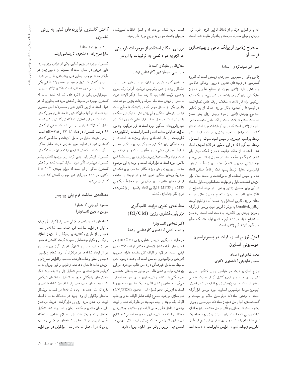انجام. وکارایی هرکدام از لحاظ کارایی انرژی طرح، توان است. نتایج نشان می۵هد که باکنترل غلظت تعلیقکننده **کاهش کلسترول فرآوردههای لبنی به روش** تولیدی و میزان مصرف سوخت با یکدیگر مقایسه شده است.

### استخراج ژلاتین از پولک ماهی و بهینهسازی فرايند أن

#### على اكبر سيفكردي (استاد)

ژلاتین یکی از مهمترین بسپارهای زیستی است که کاربرد گسترده یی در زمینههای غذایی، دارویی، پزشکی عکاسی و صنعتی دارد. ژلاتین بهویژه در صنایع غذایی بهعنوان جایگزینی برای کربوهیدراتها در شیرینهها و یک منبع پروتئینی برای کارخانههای شکلات و یک عامل تصفیهکننده در نوشابهها و آب میوه بهکار می رود. هدف از این تحقیق استخراج بهينهى ژلاتين از مواد اوليهى ارزان، يعنى همان ضایعات صنایع شیلات، است. پولک ماهی منجمله منبعی بالقوه از ژلاتین است که در این آزمایشات مورد استفاده قرار گرفته است. مراحل استخراج بهترتیب عبارتاند از: شستشو توسط پراکسید هیدروژن و سپس اسیداستیک، و استخراج توسط أب گرم (كه در اين تحقيق در pH اسيدى انجام شد). استفاده از خاک دیاتومه بهعنوان کمک فیلتر برای شفافیت رنگ و حذف مواد غیرمحلول (مانند چربی ها و مواد كلاؤنى هيدروليز نشده). جداسازى توسط سانتريفوژ. فيلتراسيون محلول توسط پمپ خلاء وكاغذ صافىي انجام شده، و سپس استفاده از تبخیرکنندههای تحت خلاء برای افزايش غلظت محلول ودرنهايت خشككردن محلول حاصله در أون براى حصول ژلاتين ورقەيى. در فرايند استخراج اثر فاکتورهای pH، دما، زمان استخراج و میزان حلال در سه سطح بر روی کارایی استخراج به دست آمده و نتایج توسط نرمافزار Qualitek به روش تاگوچي مورد بررسي قرارگرفته و میزان بهینهی این فاکتورها به دست آمده است. راندمان استخراج بهازاء هر ۱۰۰ گرم مبادهی اولیه خشبک بهطور مـيانگين ۱۲٫۶ گرم ژلاتين است.

## کنترل توزیع اندازه ذرات در پلیمریزاسیون امولسيونى استايرن

محمد شاهرخي (استاد) حسین عابدینی (دانشجوی دکتری)

توزیع اندازهی ذرات در خواص نهایی لاتکس بسپاری تأثیر زیادی دارد و از این روکنترل آن از اهمیت خاصبی برخوردار است. در این پژوهش توزیع اندازه ذرات در قطبش (پلیمریزاسیون) امولسیونی استایرن مورد بررسی قرار گرفته است. با نوشتن معادلات دیفرانسیل حاکم بر سیستم و گسستهسازي أنها و حل همزمان معادلات ديفرانسيل و جبري، رفتار سيستم شبيهسازي، وتأثير عوامل مختلف بر توزيع اندازه ذرات بررسی شده است. برای رسیدن به توزیع دلخواه، یک تابع هدف تعریف شده و با بهینه کردن این تابع از طریق الگوریتم ژنتیک، نحوهی افزایش تعلیقکننده به دست آمده

می توان بادقت خوبی به توزیع مورد نظر رسید.

### بررسی امکان استفاده از موجودات ذرهبینی در تجزیه مواد نفتی به ترکیبات با ارزش

#### جلال الدین شایگان (استاد) سید علی علویانشهر (کارشناس ارشد)

مسئلهی کمبود بنزین در ایران، در سال های اخیر بسیار مشکلزا بوده، و حتی پیش بینی میشود اگر نرخ رشد بنزین بههمین ترتیب ادامه یابد تا چند سال دیگر کلیهی عواید حاصل از فروش نفت خام صرف واردات بنزين خواهد شد. بنابراین یکمی از مسائل مهمی که در پالایشگاهها مطرح است تبدیل برش های سنگین وکم|رزش نفتی به ترکیباتی سبک و با ارزش است. در حال حاضر فرایندهایی که برای شکستن هیدروکربن های سنگین مورد استفاده قرار میگیرند بهدلیل شرايط عملياتي سخت (دما و فشار) واستفاده ازكاتاليزورهاي گران،قیمت از نظر اقتصادی بسیار پرهزینهاند. استفاده از ریزاندامگان برای شکستن هیدروکربن های سنگین، بهدلیل شرایط عملیاتی ملایم بسیار مطلوب است و در فرایندهایی مانند ازدياد برداشت ميكروبي وسولفورزدايي زيست شناختي تاکنون مورد استفاده قرارگرفته است، با توجه به این موضوع هدف از این پروژه یافتن ریزاندامگانی مناسب برای شکستن هیدروکربن های سنگین تعیین شد و در نهایت با استفاده از فرایندهای خاص سازی میکروبی، دو مخلوط میکروبی SM33 و MP33 با توانایی انجام یکسری از واکنش های مورد نظر جداسازی شدند.

## مطالعهى نظرى فرايند قالبگيرى تزريقى-فشارى رزين (RI/CM)

اکبر شجاعی (استادیار) راضيه فتحى (دانشجوى كارشناسي ارشد)

در فرایند قالبگیری تزریقی-فشاری رزین (RI/CM)، در اغلب موارد الياف شامل لايههاى مختلفي از تقويتكنندههاى ليفي است. هر لايه از الياف تقويتكننده داراى ضريب گذردهی و تراکمپذیری خاصبی است که باعث بهوجود أمدن محیط متخلخل غیرهمگن در داخل قالب می شود. در این پژوهش، فرایند پر شدن قالب در چنین محیطهای متخلخل غیرهمگنی با استفاده از شبیهسازی عددی مورد مطالعه قرار میگیرد. مرحلهی پرشدن قالب در یک فضای سهبعدی و با استفاده از روش حجم کنترل/المان محدود (CV/FEM) شبيهسازي مي شود. سەنوع الياف شامل الياف نمدى بى نظم، الياف يک جهته والياف دوجهته در نظرگرفته شده و فرايند پرشدن درداخل قالبي حاوي الياف دو و سهلايه با چينش هاي مختلف با استفاده از شبيه سازى عددى مطالعه مى شود. نتايج شبیهسازی نشان میدهد که چینش الیاف نقش مهمی در کاهش زمان تزریق و یکنواختبی الگوی جریان دارد.

#### کلسترول میشوند. تأثیر میزان سلول تثبیت شده بر کاهش کلسترول حاکی از آن است که میزان بهینهی <sup>۱۰۱۰</sup> × ۳ باکتری در ۱۰۰ میلی لیتر شیر موجب کاهش ۸۷ درصد

#### مطالعەی ساخت فوم پلے پروپیلن

مسعود فرونچي (دانشيار) سوسن دادبين (استاديار)

كىلسترول مى شود.

تخميري

ایران عالمزاده (استاد)

سارا سراجزاده (دانشجوی کارشناسی ارشد)

کلسترول موجود در رژیم غذایی، یکی از عوامل بروز بیماری

قلبی عروقی در انسان است که مصرف آن بهمرور زمان در

طولانی مدت موجب بیماری های پیشرفتهی قلبی می شود.

ازاین روکاهش کلسترول موجود در محصولات غذایی یکی

از اهداف بررسی های محققین است. باکتری لاکتوباسیلوس

اسیدوفیلوس یکی از باکتری های شناخته شده است که

کلسترول موجود در محیط را کاهش میدهد، بهطوری که در

دنیا با استفاده از این باکتری شیر و محصولات لبنی تخمیری

تهیه شده که در آنها میزان کلسترول تا حد قابل توجهی کاهش

یافته است. در این تحقیق ابتدا کاهش کلسترول شیر توسط

سلول آزاد لاکتوباسیلوس بررسی شد که حاکی از کاهش

ه درصد کلسترول در دمای ۳۷°۲ و pH=۷٫۵ است.

بررسی تثبیت سلول در حامل ألژینات و مطالعهی کاهش

کلسترول شیر در شرایط تغییر اندازهی ذرات حامل حاکی

از آن است که با کاهش اندازهی کرات میزان سرعت کاهش

كلسترول افزايش يابد. يعني كرات زير موجب كاهش بيشتر

شاخەھاي بلند به زنجير مولكولىي همبسىپار (كوپليمر) پروپيلن ـ اتيلن در فرايند ساخت فوم اضافه شد. شاخهدار شدن همبسپار از طریق واکنشهای رادیکالی با افزودن أغازگر رادیکالی و تکپار چندعاملی صورت گرفت. کاهش شاخص جریان مذاب همبسپار نشانگر افزایش گران,روی همبسپار در اثر ایجاد شاخهها در مولکول آن بود. شعاع ژیراسیون همبسپار خطي و شاخهدار شده محاسبه، وافزايش شعاع آن با افزایش شاخهها نشان داده شد. از طرفی توانایی جریان مذاب کوپلیمر نشاندهندهی عدم تشکیل ژل بود؛ بهعبارت دیگر واکنش های رادیکالی منجر به تشکیل ساختمان شبکهیی نشده بود. دمای ذوب همبسپار با افزودن شاخهها تغییری نکرد که نشاندهندهی ایجاد شاخهها در قسمت بیشکل ساختار مولکولی آن بود. بهبود در استحکام مذاب با انجام فرایند فوم شدن مورد ارزیابی قرار گرفت. شرایط فومشدن برای میزان مادهی فومکننده، زمان و دما بهینه شد. تشکیل تخلخل بسته ويكنواخت مؤيد اصلاح خواص استحكام مذاب کوپلیمر در اثر حضور شاخههای مولکولبی بود. این روش که در آن عمل شاخهدار شدن مولکولی در حین فرایند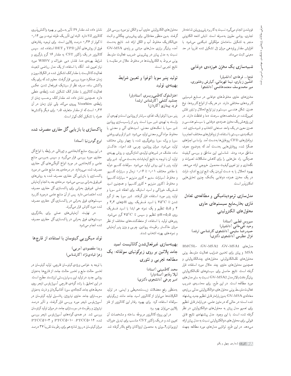فومشدن انجام میگیرد نسبت به کاربرد یلی پروییلن شاخهدار تجارى، روشى مقرون بهصرفه است. تابش اشعه الكتروني منجر به تشکیل ساختمان مولکولی شبکهیی میشود. با افزایش مقدار پرتودهی میزان ژل تشکیل شده تقریباً در حد معینی ثابت می ماند.

#### شبیهسازی یک مخزن همزدهی دوغابی

فنتح|... فرهادی (دانشیار) افشین زیّاری، نیما قهرمانی، کیارش وخشوری، میر محمدیوسف معتمدهاشمی (دانشجو)

مخزنهای حاوی مخلوطهای دوغابی در صنایع شیمیایی کاربردهای مختلفی دارند. در هر یک از انواع کاربردها، نوع همزن، شکل هندسی سیستم و نیز توابع انحلال و تبلور نقش تعیینکننده در مشخصههای سرعت، دما و غلظت دارند. در این پژوهش یک مخزن همزدهی دوغابی با سیستم هندسی و همزن معین در یک واحد صنعتی انتخاب و شبیهسازی شد. شبكهبندى سيستم با استفاده ازنرم فزارهاى مختلف انجام وبا نرم|فزارهای CFD پروفایل ها بهدست آمد. براساس اجراهای همگرا شده، پروفایلهایی بهدست أمد که بهوضوح معرف مناطق مرده بودند. شناسایی این مناطق و بررسی کیفیت همزدگی، راه حلهایی را برای کاهش مشکلات تعمیرات و نگهداری و نیز تعیین کیفیت محصول خروجی ارائه می دهد. بهبود انحلال یا به دست آوردن یک تابع توزیع اندازه ذرات در یک مخزن همزده دوغابی بهکمک چنین تحلیلهایی امكان پذير است.

## مدل سازی ترمودینامیکی و مطالعهی تعادل فازى بخار\_مايع سيستمهاى حاوى محلول هاى الكتروليتي

سیروس قطبی (استاد)<br>وحید تقی خانی (دانشیار) ۔<br>حسیدرضاً سلیمی (دانشجوی کارشناسی ارشد) غزال عظیمی (دانشجوی دکتری)

مدلهای GV-MSA2 ،GV-MSA1 مدلهای MSA و پیتزر برای تخمین ضرایب فعالیت متوسط یونی محلول های تکالکترولیتی، محلول های چندالکترولیتی و همچنین محلولهای حاوی چند حلال مورد استفاده قرار گرفته است. نتایج حاصل برای سیستمهای تکالکترولیتی بيانكر دقت بالاتر مدل GV-MSA2 نسبت به ساير مدل هاى مورد مطالعه است. در این طرح، برای محاسبهی ضریب فعالیت متوسط یونی محلول های دوالکترولیتی مدلی بر پایهی معادلهى GV-MSA بدون پارامتر قابل تنظيم جديد پيشنهاد شده است؛ در حالی که در متون علمی، دو پارامتر قابل تنظیم برای تعمیم مدل پیتزر به محلولهای دوالکترولیتی در نظر گرفته شده است. با این وجود، مدل پیشنهادی نتایج قابل قبولی برای محلول های دوالکترولیتی نسبت به مدل پیتزر ارائه می دهد. در این طرح، توانایی مدل های مورد مطالعه جهت

محلول های الکترولیتی حاوی آب و الکل نیز مورد بررسی قرار گرفت. بدین منظور معادلاتی برای پیش بینی چگالبی و ثابت دی|لکتریک مخلوط أب و الکل ارائه شد. نتایج بهدست آمده بیانگر برتری مدل های مبتنبی بر پایهی GV-MSA نسبت به مدل پیتزر در پیش بینی ضریب فعالیت متوسط یونی مربوط به الکترولیتها در مخلوط حلال در مقایسه با نتايج تجربي است.

> توليد پنير سويا (توفو) و تعيين شرايط بهينهي توليد

> > اخترالملوک کاظمی ویسری (استادیار)<br>جمشید کشفی (کارشناس ارشد) فرید پیمان2پو (کاردان)

پنیر سویا (توفو) یک غذای سرشاراز پروتئین است و تهیهی آن وابسته به تهیهی شیر سویا است. پنیر از راسب سازی پروتئین شیر سویا با نمکهای معدنی، اسیدهای ألبی و معدنی یا مخلوط مواد ألي و معدني توليد مي شود. شير از لوبياي روغني سویا و پرک سویا روغنگیری شده با چهار روش مختلف تولید میشود. میزان پروتئین، چربی، قند احیاء، خاکستر، ماده خشک در شیرهای تولیدی اندازهگیری، و روش بهپنهی تولید آن با توجه به نتایج آزمایشات بهدست می آید. شیر برای توليد پنير با اين روش توليد مى شود. سولفات كلسيم دوآبه با مقادیر مختلف ۰٫۰۱ تا ۰٫۰۶ نرمال و سیترات کلسیم، و مخلوط (سيترات سديم + كلرور منيزيم + سيترات كلسيم) و مخلوط (کلرور منیزیم + کلرور کلسیم) و همچنین اسید فسفریک خوراکی و اسید استیک برای انعقاد شیر سویا و توليد پنير مورد استفاده قرار گرفتند. شير سويا بعد از گرم شدن تا V۵°C با اسید فسفریک روی pHهای ۳٫۳ و ۴ و ۵٫۵ تنظیم و یک نمونه هم ابتدا با اسید فسفریک روی ۵٫۵=pH تنظیم و سپس تا $C$ ۷۵° گرم میشود. پنیرهای تولید با استفاده از منعقدکنندههای مختلف از نظر میزان خاکستر، رطوبت، پروتئین، چرببی و وزن پنیر أزمایش و نمونههای بهینه انتخاب شدند.

بهينهسازى غيرفعال شدن كاتاليست اسيد جامد پلاتین بر روی زیرکونیای سولفاته: یک مطالعه تجربي و تئوري

> محمد کاظمینی (استاد)<br>لیلا وفاجو (استادیار) امیر چرخی (دانشجوی دکتری)

بهمنظور رفع معضلات زیست.حیطی و ایمنی، در تولید الکیلاتها میتوان از کاتالیزور اسید جامد مانند زیرکونیای سولفاته استفاده کرد. برای بهبود رفتار این کاتالیزور از فلز پلاتین میتوان بهره برد.

در این پروژه کاتالیزور مربوطه ساخته و مشخصات آن تعیین شد و در یک راکتور CST مناسب برای تبدیل خوراک ایزوبوتان/۲\_بوتن به محصول ایزواکتان واقع بهکار گرفته شد.

نشان داده شد مقدار Pt تأثیر بهسزایی بر بهبود واکنش پذیری كاتاليزور SZ دارد. البته اين تأثير يك طرفه نبوده وبين ١٢ / ° تاكم تر از ٣۶٪ درصد پلاتين است. براى توجيه رفتارهاى فوق از روش های آنالیز TPD و BET استفاده شد. سپس کاتالیزور در یک راکتور CST به مقدار ۱۶ گرم بارگیری و شرایط بهینهی دما، فشار، دبی خوراک و WHSV مورد نیاز تعیین شد. آنگاه با استفاده از یک مدل ریاضی تابعیت فعالیت کاتالیست با مقدارکک تشکیل شده در الکیلاسیون و زمان عملکرد مورد بررسی قرار گرفت. معلوم شد که برای یک واکنش ساده صرف نظر از سینتیک غیرفعال شدن، عکس فعالیت کاتالیزور با مقدار کک تشکیل شده رابطهی خطی دارد. همچنین نشان داده شد مقدارکک برحسب زمان از رابطهی Voorhies پیروی میکند ولی توان زمان در آن ۳۳؍• است که از مقدار متعارف ۰٫۵ برای دیگر واکنشها همراه با تشکیل کک کمتر است.

### یاکسازی یا بازیابی گل حفاری مصرف شده

#### ايرج گودرزنيا (استاد)

دراین پروژه منابع کتابخانه یی و ژورنالی در رابطه با انواع گل حفاری مورد بررسی قرار میگیرد، و سپس بهبررسی منابع علمی و کتابخانه یی در مورد انواع ألودگی های گل حفاری مصرف شده میپردازد. در مرحلهی بعد منابع علمی در مورد پاکسازی یا بازیابی گل حفاری مصرف شده به روشهای غیرفوق بحرانی بررسی میشود. مرحلهی بعد به انجام أزمایش عملی غیرفوق بحرانی برای پاکسازی گل حفاری مصرف شده اختصاص دارد. پس از آن منابع علمی درمورد کاربرد سیستمهای فوق بحرانی در پاکسازی گل حفاری مصرف شده مورد کاوش قرار میگیرند.

در نهایت، آزمایشهای عملی برای بهکارگیری سیستمهای فوق بحرانی در پاکسازی گل حفاری مصرف شده انجام میشود.

## تولد میکروبی کیتوسان با استفاده از قارچها

### ويدا مقصودي (مربى) زهرا قبادىنژاد (كارشناس)

با توجه به خواص ویژهی کیتوسان قارچی، تولید کیتوسان در تخمیر حالت مایع و تخمیر حالت جامد از قارچ ها بهعنوان روشي جديد در توليد اين بسپارز يستي ارزشمند مطرح است. در این تحقیق با رشدگونهی قارچی آسپرژیلوس نایجر روی محیط های جامد کنجالهی سویا، أفتابگردان و ذرت به عنوان سوبسترای جامد حاوی نیتروژن. پتانسیل تولید کیتوسان در أسپرژیلوس نایجر مورد بررسی قرار گرفت، و تأثیر درصد نیتروژن و رطوبت در سوبسترای جامد در میزان تولید کیتوسان بررسی شد. در همه، گونههای أسپرژیلوس نایجر بررسی شده، ۲۱°، PTCC۵ و PTCC۵۱۰۳ میزان کیتوسان در روز شانزدهم برای رطوبت تقریباً ۳۷ درصد